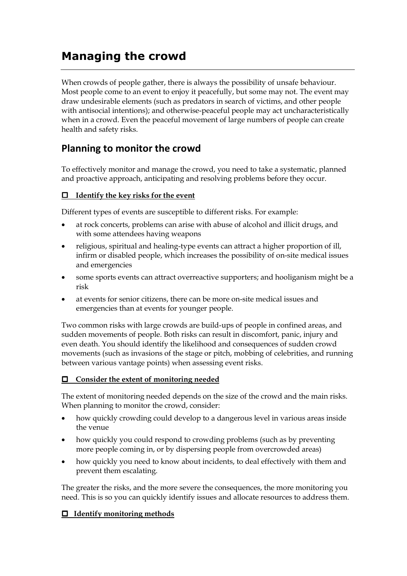# **Managing the crowd**

When crowds of people gather, there is always the possibility of unsafe behaviour. Most people come to an event to enjoy it peacefully, but some may not. The event may draw undesirable elements (such as predators in search of victims, and other people with antisocial intentions); and otherwise-peaceful people may act uncharacteristically when in a crowd. Even the peaceful movement of large numbers of people can create health and safety risks.

# **Planning to monitor the crowd**

To effectively monitor and manage the crowd, you need to take a systematic, planned and proactive approach, anticipating and resolving problems before they occur.

## **Identify the key risks for the event**

Different types of events are susceptible to different risks. For example:

- at rock concerts, problems can arise with abuse of alcohol and illicit drugs, and with some attendees having weapons
- religious, spiritual and healing-type events can attract a higher proportion of ill, infirm or disabled people, which increases the possibility of on-site medical issues and emergencies
- some sports events can attract overreactive supporters; and hooliganism might be a risk
- at events for senior citizens, there can be more on-site medical issues and emergencies than at events for younger people.

Two common risks with large crowds are build-ups of people in confined areas, and sudden movements of people. Both risks can result in discomfort, panic, injury and even death. You should identify the likelihood and consequences of sudden crowd movements (such as invasions of the stage or pitch, mobbing of celebrities, and running between various vantage points) when assessing event risks.

#### **Consider the extent of monitoring needed**

The extent of monitoring needed depends on the size of the crowd and the main risks. When planning to monitor the crowd, consider:

- how quickly crowding could develop to a dangerous level in various areas inside the venue
- how quickly you could respond to crowding problems (such as by preventing more people coming in, or by dispersing people from overcrowded areas)
- how quickly you need to know about incidents, to deal effectively with them and prevent them escalating.

The greater the risks, and the more severe the consequences, the more monitoring you need. This is so you can quickly identify issues and allocate resources to address them.

#### **Identify monitoring methods**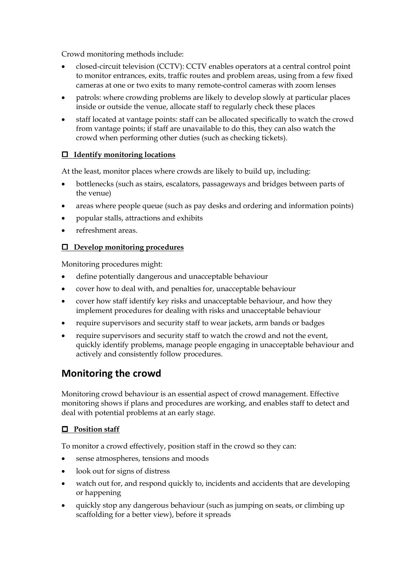Crowd monitoring methods include:

- closed-circuit television (CCTV): CCTV enables operators at a central control point to monitor entrances, exits, traffic routes and problem areas, using from a few fixed cameras at one or two exits to many remote-control cameras with zoom lenses
- patrols: where crowding problems are likely to develop slowly at particular places inside or outside the venue, allocate staff to regularly check these places
- staff located at vantage points: staff can be allocated specifically to watch the crowd from vantage points; if staff are unavailable to do this, they can also watch the crowd when performing other duties (such as checking tickets).

## **Identify monitoring locations**

At the least, monitor places where crowds are likely to build up, including:

- bottlenecks (such as stairs, escalators, passageways and bridges between parts of the venue)
- areas where people queue (such as pay desks and ordering and information points)
- popular stalls, attractions and exhibits
- refreshment areas.

### **Develop monitoring procedures**

Monitoring procedures might:

- define potentially dangerous and unacceptable behaviour
- cover how to deal with, and penalties for, unacceptable behaviour
- cover how staff identify key risks and unacceptable behaviour, and how they implement procedures for dealing with risks and unacceptable behaviour
- require supervisors and security staff to wear jackets, arm bands or badges
- require supervisors and security staff to watch the crowd and not the event, quickly identify problems, manage people engaging in unacceptable behaviour and actively and consistently follow procedures.

# **Monitoring the crowd**

Monitoring crowd behaviour is an essential aspect of crowd management. Effective monitoring shows if plans and procedures are working, and enables staff to detect and deal with potential problems at an early stage.

#### **Position staff**

To monitor a crowd effectively, position staff in the crowd so they can:

- sense atmospheres, tensions and moods
- look out for signs of distress
- watch out for, and respond quickly to, incidents and accidents that are developing or happening
- quickly stop any dangerous behaviour (such as jumping on seats, or climbing up scaffolding for a better view), before it spreads